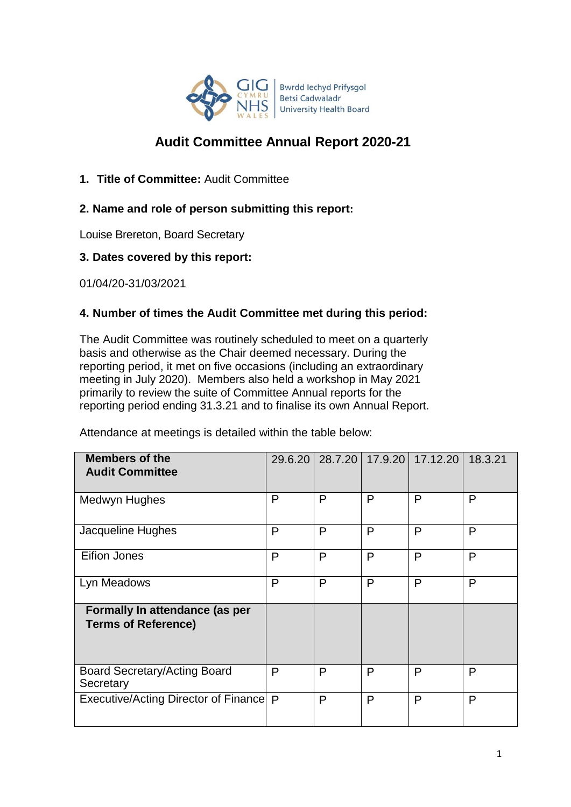

# **Audit Committee Annual Report 2020-21**

**1. Title of Committee:** Audit Committee

## **2. Name and role of person submitting this report:**

Louise Brereton, Board Secretary

### **3. Dates covered by this report:**

01/04/20-31/03/2021

### **4. Number of times the Audit Committee met during this period:**

The Audit Committee was routinely scheduled to meet on a quarterly basis and otherwise as the Chair deemed necessary. During the reporting period, it met on five occasions (including an extraordinary meeting in July 2020). Members also held a workshop in May 2021 primarily to review the suite of Committee Annual reports for the reporting period ending 31.3.21 and to finalise its own Annual Report.

Attendance at meetings is detailed within the table below:

| <b>Members of the</b><br><b>Audit Committee</b>              |   |   |   | 29.6.20   28.7.20   17.9.20   17.12.20 | 18.3.21 |
|--------------------------------------------------------------|---|---|---|----------------------------------------|---------|
| Medwyn Hughes                                                | P | P | P | P                                      | P       |
| Jacqueline Hughes                                            | P | P | P | $\mathsf{P}$                           | P       |
| Eifion Jones                                                 | P | P | P | P                                      | P       |
| Lyn Meadows                                                  | P | P | P | P                                      | P       |
| Formally In attendance (as per<br><b>Terms of Reference)</b> |   |   |   |                                        |         |
| <b>Board Secretary/Acting Board</b><br>Secretary             | P | P | P | P                                      | P       |
| Executive/Acting Director of Finance   P                     |   | P | P | P                                      | P       |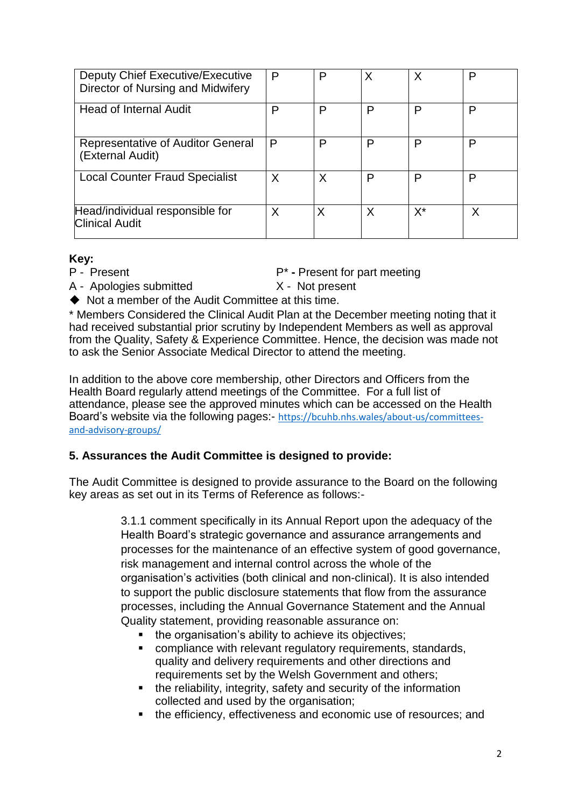| Deputy Chief Executive/Executive<br>Director of Nursing and Midwifery | P | P | Χ | Χ  | D |
|-----------------------------------------------------------------------|---|---|---|----|---|
| <b>Head of Internal Audit</b>                                         | P | P | P | P  | P |
| Representative of Auditor General<br>(External Audit)                 | P | P | P | P  | P |
| <b>Local Counter Fraud Specialist</b>                                 |   | X | P | P  | P |
| Head/individual responsible for<br><b>Clinical Audit</b>              | Χ | Х | X | X* | Χ |

### **Key:**

P - Present P<sup>\*</sup> - Present for part meeting

A - Apologies submitted X - Not present

◆ Not a member of the Audit Committee at this time.

\* Members Considered the Clinical Audit Plan at the December meeting noting that it had received substantial prior scrutiny by Independent Members as well as approval from the Quality, Safety & Experience Committee. Hence, the decision was made not to ask the Senior Associate Medical Director to attend the meeting.

In addition to the above core membership, other Directors and Officers from the Health Board regularly attend meetings of the Committee. For a full list of attendance, please see the approved minutes which can be accessed on the Health Board's website via the following pages:- [https://bcuhb.nhs.wales/about-us/committees](https://bcuhb.nhs.wales/about-us/committees-and-advisory-groups/)[and-advisory-groups/](https://bcuhb.nhs.wales/about-us/committees-and-advisory-groups/)

## **5. Assurances the Audit Committee is designed to provide:**

The Audit Committee is designed to provide assurance to the Board on the following key areas as set out in its Terms of Reference as follows:-

> 3.1.1 comment specifically in its Annual Report upon the adequacy of the Health Board's strategic governance and assurance arrangements and processes for the maintenance of an effective system of good governance, risk management and internal control across the whole of the organisation's activities (both clinical and non-clinical). It is also intended to support the public disclosure statements that flow from the assurance processes, including the Annual Governance Statement and the Annual Quality statement, providing reasonable assurance on:

- the organisation's ability to achieve its objectives:
- **EXECOMPLEANCE COMPLEX** compliance with relevant requilatory requirements, standards, quality and delivery requirements and other directions and requirements set by the Welsh Government and others;
- the reliability, integrity, safety and security of the information collected and used by the organisation;
- the efficiency, effectiveness and economic use of resources; and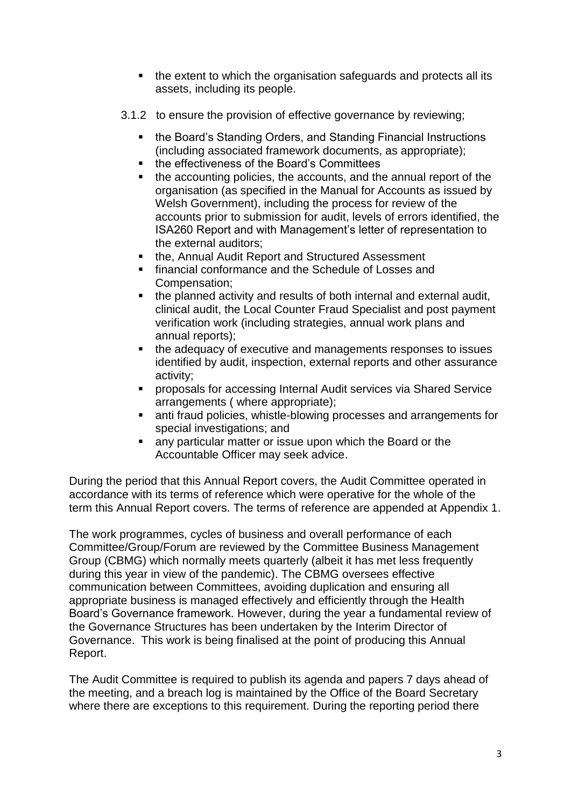- the extent to which the organisation safeguards and protects all its assets, including its people.
- 3.1.2 to ensure the provision of effective governance by reviewing;
	- the Board's Standing Orders, and Standing Financial Instructions (including associated framework documents, as appropriate);
	- the effectiveness of the Board's Committees
	- the accounting policies, the accounts, and the annual report of the organisation (as specified in the Manual for Accounts as issued by Welsh Government), including the process for review of the accounts prior to submission for audit, levels of errors identified, the ISA260 Report and with Management's letter of representation to the external auditors;
	- **the, Annual Audit Report and Structured Assessment**
	- **financial conformance and the Schedule of Losses and** Compensation;
	- the planned activity and results of both internal and external audit, clinical audit, the Local Counter Fraud Specialist and post payment verification work (including strategies, annual work plans and annual reports);
	- the adequacy of executive and managements responses to issues identified by audit, inspection, external reports and other assurance activity;
	- proposals for accessing Internal Audit services via Shared Service arrangements ( where appropriate);
	- **EXECT:** anti fraud policies, whistle-blowing processes and arrangements for special investigations; and
	- any particular matter or issue upon which the Board or the Accountable Officer may seek advice.

During the period that this Annual Report covers, the Audit Committee operated in accordance with its terms of reference which were operative for the whole of the term this Annual Report covers. The terms of reference are appended at Appendix 1.

The work programmes, cycles of business and overall performance of each Committee/Group/Forum are reviewed by the Committee Business Management Group (CBMG) which normally meets quarterly (albeit it has met less frequently during this year in view of the pandemic). The CBMG oversees effective communication between Committees, avoiding duplication and ensuring all appropriate business is managed effectively and efficiently through the Health Board's Governance framework. However, during the year a fundamental review of the Governance Structures has been undertaken by the Interim Director of Governance. This work is being finalised at the point of producing this Annual Report.

The Audit Committee is required to publish its agenda and papers 7 days ahead of the meeting, and a breach log is maintained by the Office of the Board Secretary where there are exceptions to this requirement. During the reporting period there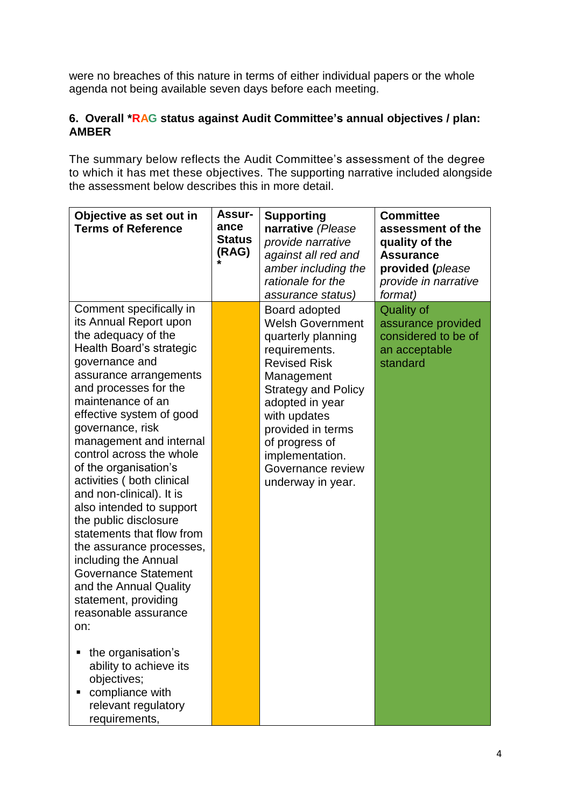were no breaches of this nature in terms of either individual papers or the whole agenda not being available seven days before each meeting.

### **6. Overall \*RAG status against Audit Committee's annual objectives / plan: AMBER**

The summary below reflects the Audit Committee's assessment of the degree to which it has met these objectives. The supporting narrative included alongside the assessment below describes this in more detail.

| Objective as set out in<br><b>Terms of Reference</b>                                                                                                                                                                                                                                                                                                                                                                                                                                                                                                                                                                                                                                                                                                                    | <b>Assur-</b><br>ance<br><b>Status</b><br>(RAG) | <b>Supporting</b><br>narrative (Please<br>provide narrative<br>against all red and<br>amber including the<br>rationale for the<br>assurance status)                                                                                                                                       | <b>Committee</b><br>assessment of the<br>quality of the<br><b>Assurance</b><br>provided (please<br>provide in narrative<br>format) |
|-------------------------------------------------------------------------------------------------------------------------------------------------------------------------------------------------------------------------------------------------------------------------------------------------------------------------------------------------------------------------------------------------------------------------------------------------------------------------------------------------------------------------------------------------------------------------------------------------------------------------------------------------------------------------------------------------------------------------------------------------------------------------|-------------------------------------------------|-------------------------------------------------------------------------------------------------------------------------------------------------------------------------------------------------------------------------------------------------------------------------------------------|------------------------------------------------------------------------------------------------------------------------------------|
| Comment specifically in<br>its Annual Report upon<br>the adequacy of the<br>Health Board's strategic<br>governance and<br>assurance arrangements<br>and processes for the<br>maintenance of an<br>effective system of good<br>governance, risk<br>management and internal<br>control across the whole<br>of the organisation's<br>activities (both clinical<br>and non-clinical). It is<br>also intended to support<br>the public disclosure<br>statements that flow from<br>the assurance processes,<br>including the Annual<br><b>Governance Statement</b><br>and the Annual Quality<br>statement, providing<br>reasonable assurance<br>on:<br>the organisation's<br>ability to achieve its<br>objectives;<br>compliance with<br>relevant regulatory<br>requirements, |                                                 | Board adopted<br><b>Welsh Government</b><br>quarterly planning<br>requirements.<br><b>Revised Risk</b><br>Management<br><b>Strategy and Policy</b><br>adopted in year<br>with updates<br>provided in terms<br>of progress of<br>implementation.<br>Governance review<br>underway in year. | <b>Quality of</b><br>assurance provided<br>considered to be of<br>an acceptable<br>standard                                        |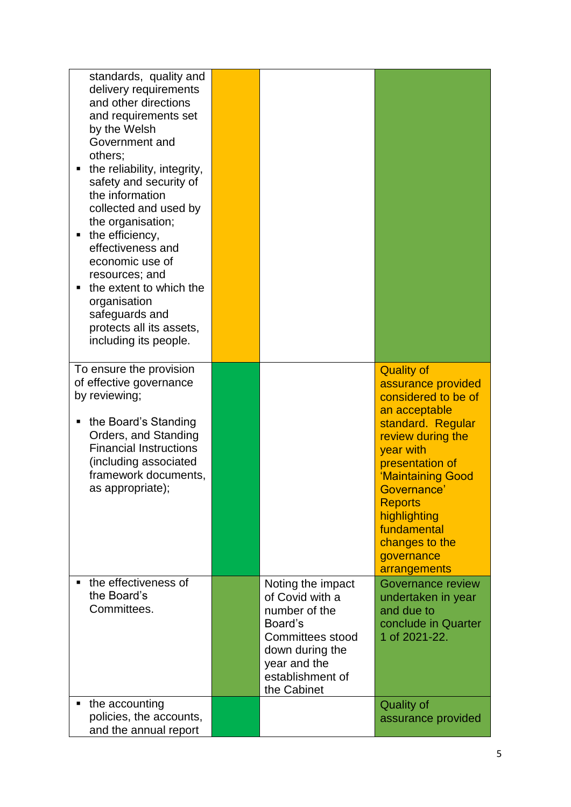| standards, quality and<br>delivery requirements<br>and other directions<br>and requirements set<br>by the Welsh<br>Government and<br>others;<br>the reliability, integrity,<br>safety and security of<br>the information<br>collected and used by<br>the organisation;<br>the efficiency,<br>٠<br>effectiveness and<br>economic use of<br>resources; and<br>the extent to which the<br>organisation<br>safeguards and<br>protects all its assets,<br>including its people. |                                                                                                                                                            |                                                                                                                                                                                                                                                                                                |
|----------------------------------------------------------------------------------------------------------------------------------------------------------------------------------------------------------------------------------------------------------------------------------------------------------------------------------------------------------------------------------------------------------------------------------------------------------------------------|------------------------------------------------------------------------------------------------------------------------------------------------------------|------------------------------------------------------------------------------------------------------------------------------------------------------------------------------------------------------------------------------------------------------------------------------------------------|
| To ensure the provision<br>of effective governance<br>by reviewing;<br>the Board's Standing<br>Orders, and Standing<br><b>Financial Instructions</b><br>including associated<br>framework documents,<br>as appropriate);                                                                                                                                                                                                                                                   |                                                                                                                                                            | <b>Quality of</b><br>assurance provided<br>considered to be of<br>an acceptable<br>standard. Regular<br>review during the<br>year with<br>presentation of<br>'Maintaining Good<br>Governance'<br><b>Reports</b><br>highlighting<br>fundamental<br>changes to the<br>governance<br>arrangements |
| the effectiveness of<br>the Board's<br>Committees.                                                                                                                                                                                                                                                                                                                                                                                                                         | Noting the impact<br>of Covid with a<br>number of the<br>Board's<br>Committees stood<br>down during the<br>year and the<br>establishment of<br>the Cabinet | Governance review<br>undertaken in year<br>and due to<br>conclude in Quarter<br>1 of 2021-22.                                                                                                                                                                                                  |
| the accounting<br>policies, the accounts,<br>and the annual report                                                                                                                                                                                                                                                                                                                                                                                                         |                                                                                                                                                            | <b>Quality of</b><br>assurance provided                                                                                                                                                                                                                                                        |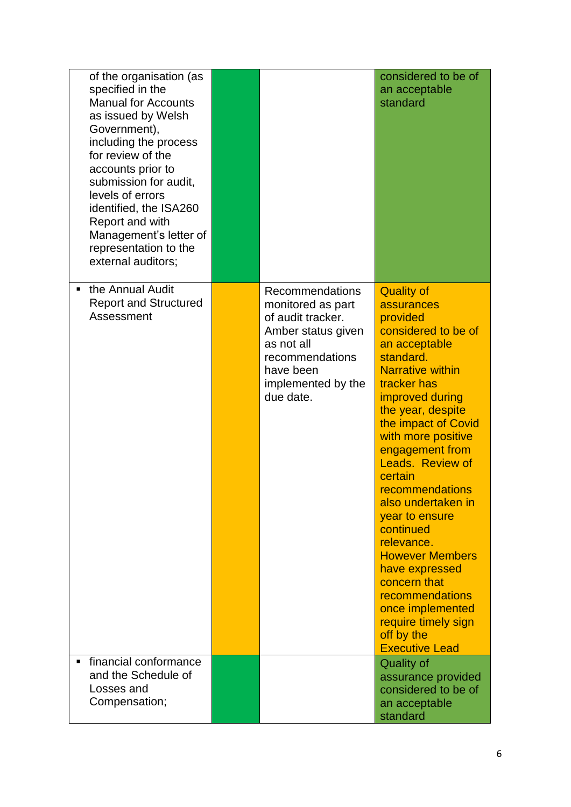| of the organisation (as<br>specified in the<br><b>Manual for Accounts</b><br>as issued by Welsh<br>Government),<br>including the process<br>for review of the<br>accounts prior to<br>submission for audit,<br>levels of errors<br>identified, the ISA260<br>Report and with<br>Management's letter of<br>representation to the<br>external auditors; |                                                                                                                                                                         | considered to be of<br>an acceptable<br>standard                                                                                                                                                                                                                                                                                                                                                                                                                                                                                         |
|-------------------------------------------------------------------------------------------------------------------------------------------------------------------------------------------------------------------------------------------------------------------------------------------------------------------------------------------------------|-------------------------------------------------------------------------------------------------------------------------------------------------------------------------|------------------------------------------------------------------------------------------------------------------------------------------------------------------------------------------------------------------------------------------------------------------------------------------------------------------------------------------------------------------------------------------------------------------------------------------------------------------------------------------------------------------------------------------|
| the Annual Audit<br>$\blacksquare$<br><b>Report and Structured</b><br>Assessment                                                                                                                                                                                                                                                                      | <b>Recommendations</b><br>monitored as part<br>of audit tracker.<br>Amber status given<br>as not all<br>recommendations<br>have been<br>implemented by the<br>due date. | <b>Quality of</b><br>assurances<br>provided<br>considered to be of<br>an acceptable<br>standard.<br><b>Narrative within</b><br>tracker has<br>improved during<br>the year, despite<br>the impact of Covid<br>with more positive<br>engagement from<br>Leads. Review of<br>certain<br>recommendations<br>also undertaken in<br>year to ensure<br>continued<br>relevance.<br><b>However Members</b><br>have expressed<br>concern that<br>recommendations<br>once implemented<br>require timely sign<br>off by the<br><b>Executive Lead</b> |
| financial conformance<br>and the Schedule of<br>Losses and<br>Compensation;                                                                                                                                                                                                                                                                           |                                                                                                                                                                         | <b>Quality of</b><br>assurance provided<br>considered to be of<br>an acceptable<br>standard                                                                                                                                                                                                                                                                                                                                                                                                                                              |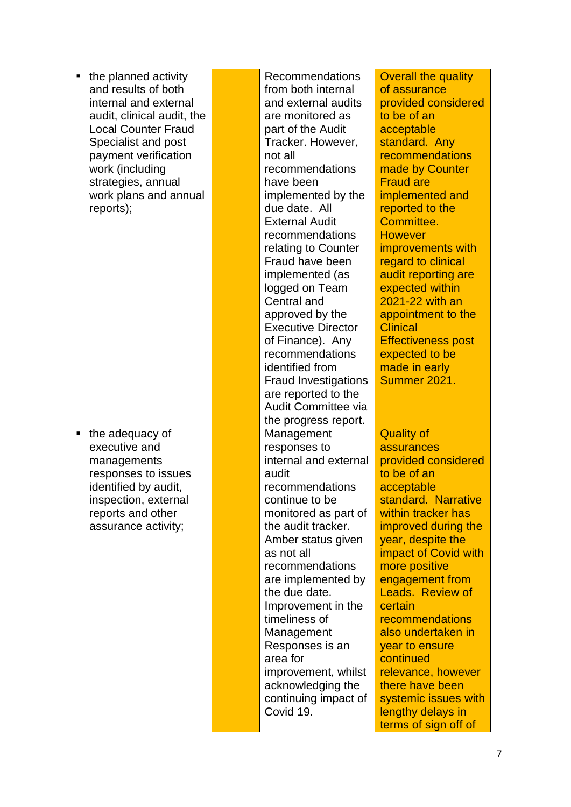|                            | <b>Recommendations</b> | <b>Overall the quality</b>                                                                                                                                                                                                                                                                                                                                                                                                                                                                                                                                                                                                                       |
|----------------------------|------------------------|--------------------------------------------------------------------------------------------------------------------------------------------------------------------------------------------------------------------------------------------------------------------------------------------------------------------------------------------------------------------------------------------------------------------------------------------------------------------------------------------------------------------------------------------------------------------------------------------------------------------------------------------------|
|                            | from both internal     | of assurance                                                                                                                                                                                                                                                                                                                                                                                                                                                                                                                                                                                                                                     |
|                            | and external audits    | provided considered                                                                                                                                                                                                                                                                                                                                                                                                                                                                                                                                                                                                                              |
|                            | are monitored as       | to be of an                                                                                                                                                                                                                                                                                                                                                                                                                                                                                                                                                                                                                                      |
|                            | part of the Audit      | acceptable                                                                                                                                                                                                                                                                                                                                                                                                                                                                                                                                                                                                                                       |
|                            | Tracker. However,      | standard. Any                                                                                                                                                                                                                                                                                                                                                                                                                                                                                                                                                                                                                                    |
|                            | not all                | recommendations                                                                                                                                                                                                                                                                                                                                                                                                                                                                                                                                                                                                                                  |
|                            | recommendations        | made by Counter                                                                                                                                                                                                                                                                                                                                                                                                                                                                                                                                                                                                                                  |
|                            | have been              | <b>Fraud are</b>                                                                                                                                                                                                                                                                                                                                                                                                                                                                                                                                                                                                                                 |
|                            | implemented by the     | implemented and                                                                                                                                                                                                                                                                                                                                                                                                                                                                                                                                                                                                                                  |
|                            | due date. All          | reported to the                                                                                                                                                                                                                                                                                                                                                                                                                                                                                                                                                                                                                                  |
|                            | <b>External Audit</b>  | Committee.                                                                                                                                                                                                                                                                                                                                                                                                                                                                                                                                                                                                                                       |
|                            | recommendations        | <b>However</b>                                                                                                                                                                                                                                                                                                                                                                                                                                                                                                                                                                                                                                   |
|                            | relating to Counter    | improvements with                                                                                                                                                                                                                                                                                                                                                                                                                                                                                                                                                                                                                                |
|                            | Fraud have been        | regard to clinical                                                                                                                                                                                                                                                                                                                                                                                                                                                                                                                                                                                                                               |
|                            | implemented (as        | audit reporting are                                                                                                                                                                                                                                                                                                                                                                                                                                                                                                                                                                                                                              |
|                            | logged on Team         | expected within                                                                                                                                                                                                                                                                                                                                                                                                                                                                                                                                                                                                                                  |
|                            |                        | 2021-22 with an                                                                                                                                                                                                                                                                                                                                                                                                                                                                                                                                                                                                                                  |
|                            |                        | appointment to the                                                                                                                                                                                                                                                                                                                                                                                                                                                                                                                                                                                                                               |
|                            |                        | <b>Clinical</b>                                                                                                                                                                                                                                                                                                                                                                                                                                                                                                                                                                                                                                  |
|                            |                        | <b>Effectiveness post</b>                                                                                                                                                                                                                                                                                                                                                                                                                                                                                                                                                                                                                        |
|                            |                        | expected to be                                                                                                                                                                                                                                                                                                                                                                                                                                                                                                                                                                                                                                   |
|                            |                        | made in early                                                                                                                                                                                                                                                                                                                                                                                                                                                                                                                                                                                                                                    |
|                            |                        | Summer 2021.                                                                                                                                                                                                                                                                                                                                                                                                                                                                                                                                                                                                                                     |
|                            |                        |                                                                                                                                                                                                                                                                                                                                                                                                                                                                                                                                                                                                                                                  |
|                            |                        |                                                                                                                                                                                                                                                                                                                                                                                                                                                                                                                                                                                                                                                  |
|                            |                        |                                                                                                                                                                                                                                                                                                                                                                                                                                                                                                                                                                                                                                                  |
|                            |                        | <b>Quality of</b>                                                                                                                                                                                                                                                                                                                                                                                                                                                                                                                                                                                                                                |
|                            |                        | assurances                                                                                                                                                                                                                                                                                                                                                                                                                                                                                                                                                                                                                                       |
|                            |                        | provided considered                                                                                                                                                                                                                                                                                                                                                                                                                                                                                                                                                                                                                              |
|                            |                        | to be of an                                                                                                                                                                                                                                                                                                                                                                                                                                                                                                                                                                                                                                      |
|                            |                        | acceptable<br>standard. Narrative                                                                                                                                                                                                                                                                                                                                                                                                                                                                                                                                                                                                                |
|                            |                        |                                                                                                                                                                                                                                                                                                                                                                                                                                                                                                                                                                                                                                                  |
|                            |                        | within tracker has                                                                                                                                                                                                                                                                                                                                                                                                                                                                                                                                                                                                                               |
|                            |                        | improved during the<br>year, despite the                                                                                                                                                                                                                                                                                                                                                                                                                                                                                                                                                                                                         |
|                            |                        | impact of Covid with                                                                                                                                                                                                                                                                                                                                                                                                                                                                                                                                                                                                                             |
|                            |                        | more positive                                                                                                                                                                                                                                                                                                                                                                                                                                                                                                                                                                                                                                    |
|                            |                        | engagement from                                                                                                                                                                                                                                                                                                                                                                                                                                                                                                                                                                                                                                  |
|                            |                        | <b>Leads. Review of</b>                                                                                                                                                                                                                                                                                                                                                                                                                                                                                                                                                                                                                          |
|                            |                        | certain                                                                                                                                                                                                                                                                                                                                                                                                                                                                                                                                                                                                                                          |
|                            |                        | recommendations                                                                                                                                                                                                                                                                                                                                                                                                                                                                                                                                                                                                                                  |
|                            |                        | also undertaken in                                                                                                                                                                                                                                                                                                                                                                                                                                                                                                                                                                                                                               |
|                            |                        | year to ensure                                                                                                                                                                                                                                                                                                                                                                                                                                                                                                                                                                                                                                   |
|                            |                        | continued                                                                                                                                                                                                                                                                                                                                                                                                                                                                                                                                                                                                                                        |
|                            |                        | relevance, however                                                                                                                                                                                                                                                                                                                                                                                                                                                                                                                                                                                                                               |
|                            |                        | there have been                                                                                                                                                                                                                                                                                                                                                                                                                                                                                                                                                                                                                                  |
|                            |                        | systemic issues with                                                                                                                                                                                                                                                                                                                                                                                                                                                                                                                                                                                                                             |
|                            |                        | lengthy delays in                                                                                                                                                                                                                                                                                                                                                                                                                                                                                                                                                                                                                                |
|                            |                        | terms of sign off of                                                                                                                                                                                                                                                                                                                                                                                                                                                                                                                                                                                                                             |
| audit, clinical audit, the |                        | Central and<br>approved by the<br><b>Executive Director</b><br>of Finance). Any<br>recommendations<br>identified from<br><b>Fraud Investigations</b><br>are reported to the<br>Audit Committee via<br>the progress report.<br>Management<br>responses to<br>internal and external<br>audit<br>recommendations<br>continue to be<br>monitored as part of<br>the audit tracker.<br>Amber status given<br>as not all<br>recommendations<br>are implemented by<br>the due date.<br>Improvement in the<br>timeliness of<br>Management<br>Responses is an<br>area for<br>improvement, whilst<br>acknowledging the<br>continuing impact of<br>Covid 19. |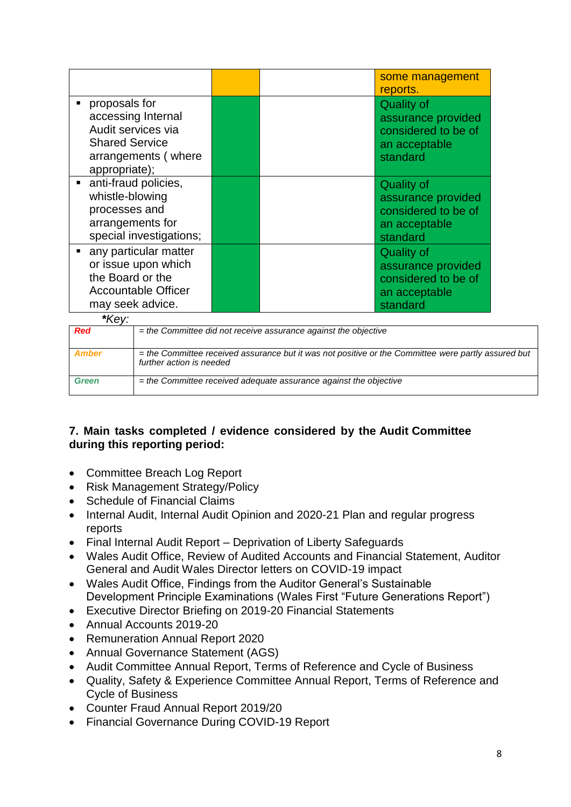|                                                                                                                            |                                                                                     | some management<br>reports.                                                                 |
|----------------------------------------------------------------------------------------------------------------------------|-------------------------------------------------------------------------------------|---------------------------------------------------------------------------------------------|
| proposals for<br>accessing Internal<br>Audit services via<br><b>Shared Service</b><br>arrangements (where<br>appropriate); |                                                                                     | <b>Quality of</b><br>assurance provided<br>considered to be of<br>an acceptable<br>standard |
| anti-fraud policies,<br>whistle-blowing<br>processes and<br>arrangements for<br>special investigations;                    |                                                                                     | <b>Quality of</b><br>assurance provided<br>considered to be of<br>an acceptable<br>standard |
| any particular matter<br>or issue upon which<br>the Board or the<br>Accountable Officer<br>may seek advice.                |                                                                                     | <b>Quality of</b><br>assurance provided<br>considered to be of<br>an acceptable<br>standard |
| *Key:<br>$\alpha$ $\alpha$ $\alpha$ $\beta$                                                                                | $\mathbf{r} = \mathbf{r} \cdot \mathbf{r}$ , and the set of the set of $\mathbf{r}$ |                                                                                             |

| <b>Red</b>   | $=$ the Committee did not receive assurance against the objective                                                               |
|--------------|---------------------------------------------------------------------------------------------------------------------------------|
| Amber        | = the Committee received assurance but it was not positive or the Committee were partly assured but<br>further action is needed |
| <b>Green</b> | $=$ the Committee received adequate assurance against the objective                                                             |

### **7. Main tasks completed / evidence considered by the Audit Committee during this reporting period:**

- Committee Breach Log Report
- Risk Management Strategy/Policy
- Schedule of Financial Claims
- Internal Audit, Internal Audit Opinion and 2020-21 Plan and regular progress reports
- Final Internal Audit Report Deprivation of Liberty Safeguards
- Wales Audit Office, Review of Audited Accounts and Financial Statement, Auditor General and Audit Wales Director letters on COVID-19 impact
- Wales Audit Office, Findings from the Auditor General's Sustainable Development Principle Examinations (Wales First "Future Generations Report")
- Executive Director Briefing on 2019-20 Financial Statements
- Annual Accounts 2019-20
- Remuneration Annual Report 2020
- Annual Governance Statement (AGS)
- Audit Committee Annual Report, Terms of Reference and Cycle of Business
- Quality, Safety & Experience Committee Annual Report, Terms of Reference and Cycle of Business
- Counter Fraud Annual Report 2019/20
- Financial Governance During COVID-19 Report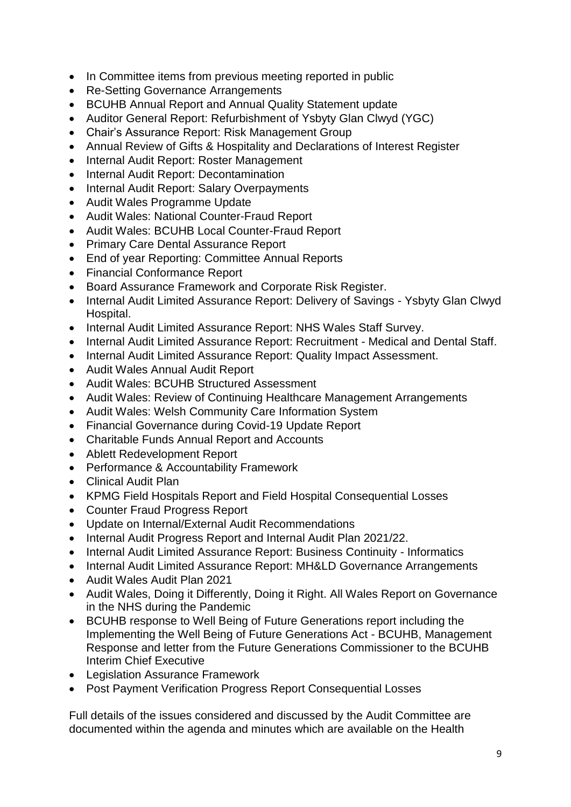- In Committee items from previous meeting reported in public
- Re-Setting Governance Arrangements
- BCUHB Annual Report and Annual Quality Statement update
- Auditor General Report: Refurbishment of Ysbyty Glan Clwyd (YGC)
- Chair's Assurance Report: Risk Management Group
- Annual Review of Gifts & Hospitality and Declarations of Interest Register
- Internal Audit Report: Roster Management
- Internal Audit Report: Decontamination
- Internal Audit Report: Salary Overpayments
- Audit Wales Programme Update
- Audit Wales: National Counter-Fraud Report
- Audit Wales: BCUHB Local Counter-Fraud Report
- Primary Care Dental Assurance Report
- End of year Reporting: Committee Annual Reports
- Financial Conformance Report
- Board Assurance Framework and Corporate Risk Register.
- Internal Audit Limited Assurance Report: Delivery of Savings Ysbyty Glan Clwyd Hospital.
- Internal Audit Limited Assurance Report: NHS Wales Staff Survey.
- Internal Audit Limited Assurance Report: Recruitment Medical and Dental Staff.
- Internal Audit Limited Assurance Report: Quality Impact Assessment.
- Audit Wales Annual Audit Report
- Audit Wales: BCUHB Structured Assessment
- Audit Wales: Review of Continuing Healthcare Management Arrangements
- Audit Wales: Welsh Community Care Information System
- Financial Governance during Covid-19 Update Report
- Charitable Funds Annual Report and Accounts
- Ablett Redevelopment Report
- Performance & Accountability Framework
- Clinical Audit Plan
- KPMG Field Hospitals Report and Field Hospital Consequential Losses
- Counter Fraud Progress Report
- Update on Internal/External Audit Recommendations
- Internal Audit Progress Report and Internal Audit Plan 2021/22.
- Internal Audit Limited Assurance Report: Business Continuity Informatics
- Internal Audit Limited Assurance Report: MH&LD Governance Arrangements
- Audit Wales Audit Plan 2021
- Audit Wales, Doing it Differently, Doing it Right. All Wales Report on Governance in the NHS during the Pandemic
- BCUHB response to Well Being of Future Generations report including the Implementing the Well Being of Future Generations Act - BCUHB, Management Response and letter from the Future Generations Commissioner to the BCUHB Interim Chief Executive
- Legislation Assurance Framework
- Post Payment Verification Progress Report Consequential Losses

Full details of the issues considered and discussed by the Audit Committee are documented within the agenda and minutes which are available on the Health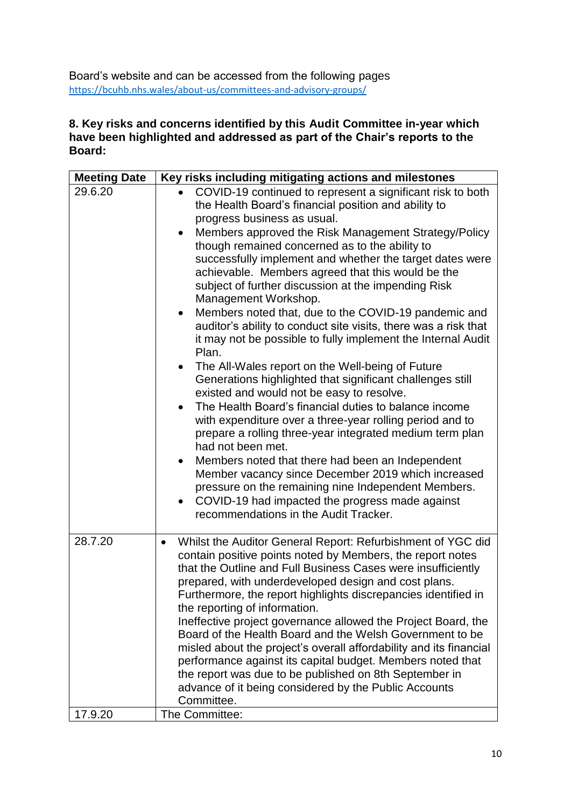Board's website and can be accessed from the following pages <https://bcuhb.nhs.wales/about-us/committees-and-advisory-groups/>

#### **8. Key risks and concerns identified by this Audit Committee in-year which have been highlighted and addressed as part of the Chair's reports to the Board:**

| <b>Meeting Date</b> | Key risks including mitigating actions and milestones                                                                                                                                                                                                                                                                                                                                                                                                                                                                                                                                                                                                                                                                                                                                                                                                                                                                                                                                                                                                                                                                                                                                                                                                                                                                                                                          |
|---------------------|--------------------------------------------------------------------------------------------------------------------------------------------------------------------------------------------------------------------------------------------------------------------------------------------------------------------------------------------------------------------------------------------------------------------------------------------------------------------------------------------------------------------------------------------------------------------------------------------------------------------------------------------------------------------------------------------------------------------------------------------------------------------------------------------------------------------------------------------------------------------------------------------------------------------------------------------------------------------------------------------------------------------------------------------------------------------------------------------------------------------------------------------------------------------------------------------------------------------------------------------------------------------------------------------------------------------------------------------------------------------------------|
| 29.6.20             | COVID-19 continued to represent a significant risk to both<br>the Health Board's financial position and ability to<br>progress business as usual.<br>Members approved the Risk Management Strategy/Policy<br>$\bullet$<br>though remained concerned as to the ability to<br>successfully implement and whether the target dates were<br>achievable. Members agreed that this would be the<br>subject of further discussion at the impending Risk<br>Management Workshop.<br>Members noted that, due to the COVID-19 pandemic and<br>$\bullet$<br>auditor's ability to conduct site visits, there was a risk that<br>it may not be possible to fully implement the Internal Audit<br>Plan.<br>The All-Wales report on the Well-being of Future<br>$\bullet$<br>Generations highlighted that significant challenges still<br>existed and would not be easy to resolve.<br>The Health Board's financial duties to balance income<br>$\bullet$<br>with expenditure over a three-year rolling period and to<br>prepare a rolling three-year integrated medium term plan<br>had not been met.<br>Members noted that there had been an Independent<br>$\bullet$<br>Member vacancy since December 2019 which increased<br>pressure on the remaining nine Independent Members.<br>COVID-19 had impacted the progress made against<br>$\bullet$<br>recommendations in the Audit Tracker. |
| 28.7.20             | Whilst the Auditor General Report: Refurbishment of YGC did<br>$\bullet$<br>contain positive points noted by Members, the report notes<br>that the Outline and Full Business Cases were insufficiently<br>prepared, with underdeveloped design and cost plans.<br>Furthermore, the report highlights discrepancies identified in<br>the reporting of information.<br>Ineffective project governance allowed the Project Board, the<br>Board of the Health Board and the Welsh Government to be<br>misled about the project's overall affordability and its financial<br>performance against its capital budget. Members noted that<br>the report was due to be published on 8th September in<br>advance of it being considered by the Public Accounts<br>Committee.                                                                                                                                                                                                                                                                                                                                                                                                                                                                                                                                                                                                            |
| 17.9.20             | The Committee:                                                                                                                                                                                                                                                                                                                                                                                                                                                                                                                                                                                                                                                                                                                                                                                                                                                                                                                                                                                                                                                                                                                                                                                                                                                                                                                                                                 |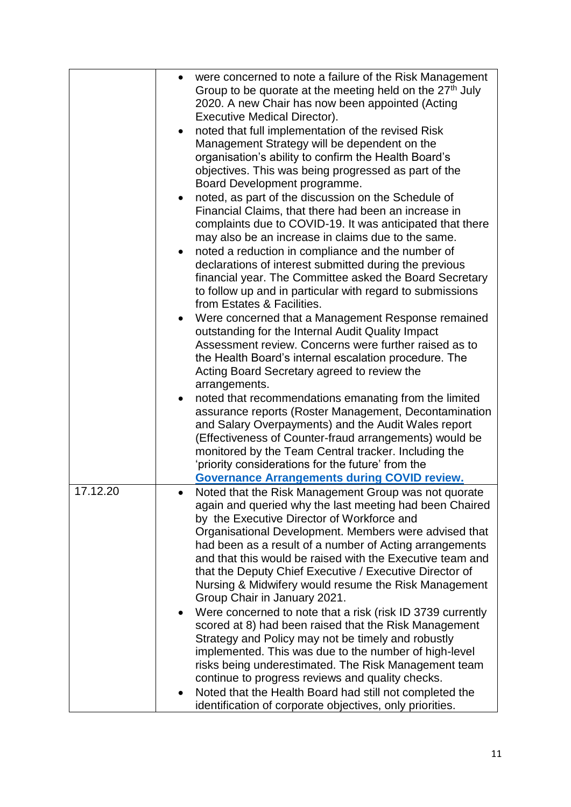| $\bullet$ | were concerned to note a failure of the Risk Management                                                       |
|-----------|---------------------------------------------------------------------------------------------------------------|
|           | Group to be quorate at the meeting held on the 27 <sup>th</sup> July                                          |
|           | 2020. A new Chair has now been appointed (Acting                                                              |
|           | Executive Medical Director).                                                                                  |
|           | noted that full implementation of the revised Risk                                                            |
|           | Management Strategy will be dependent on the                                                                  |
|           | organisation's ability to confirm the Health Board's                                                          |
|           | objectives. This was being progressed as part of the                                                          |
|           | Board Development programme.                                                                                  |
| $\bullet$ | noted, as part of the discussion on the Schedule of                                                           |
|           | Financial Claims, that there had been an increase in                                                          |
|           | complaints due to COVID-19. It was anticipated that there                                                     |
|           | may also be an increase in claims due to the same.                                                            |
|           | noted a reduction in compliance and the number of                                                             |
|           | declarations of interest submitted during the previous                                                        |
|           | financial year. The Committee asked the Board Secretary                                                       |
|           | to follow up and in particular with regard to submissions                                                     |
|           | from Estates & Facilities.                                                                                    |
| $\bullet$ | Were concerned that a Management Response remained                                                            |
|           | outstanding for the Internal Audit Quality Impact                                                             |
|           | Assessment review. Concerns were further raised as to                                                         |
|           | the Health Board's internal escalation procedure. The                                                         |
|           | Acting Board Secretary agreed to review the                                                                   |
|           | arrangements.                                                                                                 |
| $\bullet$ | noted that recommendations emanating from the limited                                                         |
|           | assurance reports (Roster Management, Decontamination                                                         |
|           | and Salary Overpayments) and the Audit Wales report<br>(Effectiveness of Counter-fraud arrangements) would be |
|           | monitored by the Team Central tracker. Including the                                                          |
|           | 'priority considerations for the future' from the                                                             |
|           | <b>Governance Arrangements during COVID review.</b>                                                           |
| 17.12.20  | Noted that the Risk Management Group was not quorate                                                          |
|           | again and queried why the last meeting had been Chaired                                                       |
|           | by the Executive Director of Workforce and                                                                    |
|           | Organisational Development. Members were advised that                                                         |
|           | had been as a result of a number of Acting arrangements                                                       |
|           | and that this would be raised with the Executive team and                                                     |
|           | that the Deputy Chief Executive / Executive Director of                                                       |
|           | Nursing & Midwifery would resume the Risk Management                                                          |
|           | Group Chair in January 2021.                                                                                  |
| $\bullet$ | Were concerned to note that a risk (risk ID 3739 currently                                                    |
|           | scored at 8) had been raised that the Risk Management<br>Strategy and Policy may not be timely and robustly   |
|           | implemented. This was due to the number of high-level                                                         |
|           | risks being underestimated. The Risk Management team                                                          |
|           | continue to progress reviews and quality checks.                                                              |
| $\bullet$ | Noted that the Health Board had still not completed the                                                       |
|           |                                                                                                               |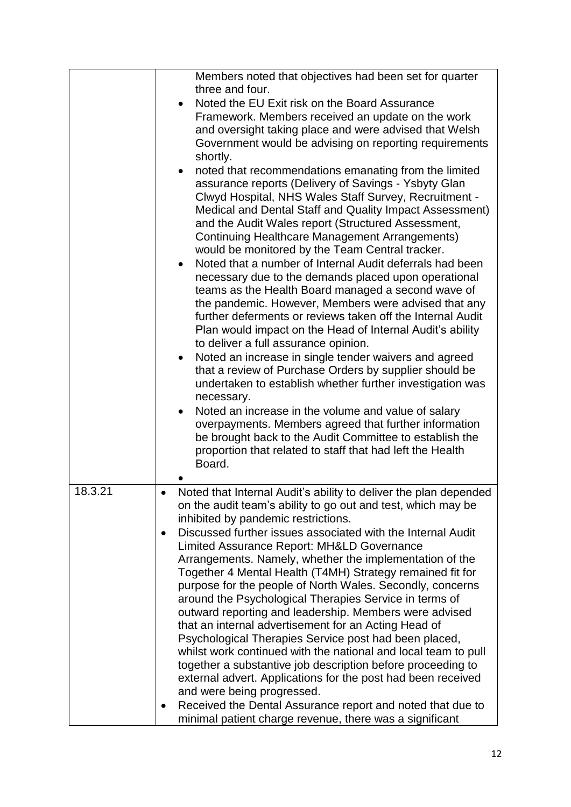|         | Members noted that objectives had been set for quarter                                                                       |
|---------|------------------------------------------------------------------------------------------------------------------------------|
|         | three and four.                                                                                                              |
|         | Noted the EU Exit risk on the Board Assurance                                                                                |
|         | Framework. Members received an update on the work                                                                            |
|         | and oversight taking place and were advised that Welsh                                                                       |
|         | Government would be advising on reporting requirements                                                                       |
|         | shortly.                                                                                                                     |
|         | noted that recommendations emanating from the limited                                                                        |
|         | assurance reports (Delivery of Savings - Ysbyty Glan                                                                         |
|         | Clwyd Hospital, NHS Wales Staff Survey, Recruitment -                                                                        |
|         | Medical and Dental Staff and Quality Impact Assessment)                                                                      |
|         | and the Audit Wales report (Structured Assessment,                                                                           |
|         | <b>Continuing Healthcare Management Arrangements)</b>                                                                        |
|         | would be monitored by the Team Central tracker.                                                                              |
|         | Noted that a number of Internal Audit deferrals had been                                                                     |
|         | necessary due to the demands placed upon operational                                                                         |
|         | teams as the Health Board managed a second wave of                                                                           |
|         | the pandemic. However, Members were advised that any                                                                         |
|         | further deferments or reviews taken off the Internal Audit                                                                   |
|         | Plan would impact on the Head of Internal Audit's ability                                                                    |
|         | to deliver a full assurance opinion.                                                                                         |
|         | Noted an increase in single tender waivers and agreed<br>$\bullet$<br>that a review of Purchase Orders by supplier should be |
|         | undertaken to establish whether further investigation was                                                                    |
|         | necessary.                                                                                                                   |
|         | Noted an increase in the volume and value of salary                                                                          |
|         | overpayments. Members agreed that further information                                                                        |
|         | be brought back to the Audit Committee to establish the                                                                      |
|         | proportion that related to staff that had left the Health                                                                    |
|         | Board.                                                                                                                       |
|         |                                                                                                                              |
| 18.3.21 | Noted that Internal Audit's ability to deliver the plan depended                                                             |
|         | on the audit team's ability to go out and test, which may be                                                                 |
|         | inhibited by pandemic restrictions.<br>Discussed further issues associated with the Internal Audit                           |
|         | Limited Assurance Report: MH&LD Governance                                                                                   |
|         | Arrangements. Namely, whether the implementation of the                                                                      |
|         | Together 4 Mental Health (T4MH) Strategy remained fit for                                                                    |
|         | purpose for the people of North Wales. Secondly, concerns                                                                    |
|         | around the Psychological Therapies Service in terms of                                                                       |
|         | outward reporting and leadership. Members were advised                                                                       |
|         | that an internal advertisement for an Acting Head of                                                                         |
|         | Psychological Therapies Service post had been placed,                                                                        |
|         | whilst work continued with the national and local team to pull                                                               |
|         | together a substantive job description before proceeding to                                                                  |
|         | external advert. Applications for the post had been received                                                                 |
|         | and were being progressed.                                                                                                   |
|         | Received the Dental Assurance report and noted that due to                                                                   |
|         | minimal patient charge revenue, there was a significant                                                                      |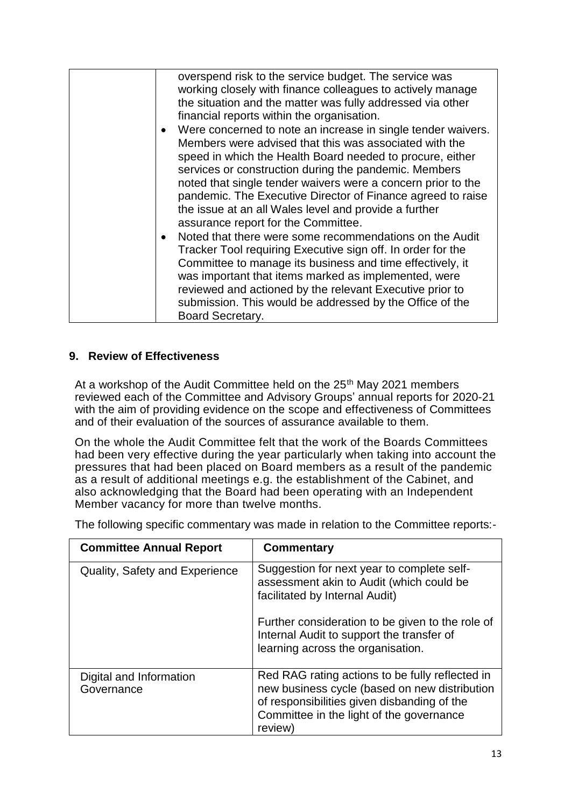| overspend risk to the service budget. The service was<br>working closely with finance colleagues to actively manage<br>the situation and the matter was fully addressed via other<br>financial reports within the organisation.<br>Were concerned to note an increase in single tender waivers.<br>$\bullet$<br>Members were advised that this was associated with the<br>speed in which the Health Board needed to procure, either<br>services or construction during the pandemic. Members<br>noted that single tender waivers were a concern prior to the<br>pandemic. The Executive Director of Finance agreed to raise<br>the issue at an all Wales level and provide a further<br>assurance report for the Committee.<br>Noted that there were some recommendations on the Audit<br>$\bullet$<br>Tracker Tool requiring Executive sign off. In order for the<br>Committee to manage its business and time effectively, it<br>was important that items marked as implemented, were |
|-----------------------------------------------------------------------------------------------------------------------------------------------------------------------------------------------------------------------------------------------------------------------------------------------------------------------------------------------------------------------------------------------------------------------------------------------------------------------------------------------------------------------------------------------------------------------------------------------------------------------------------------------------------------------------------------------------------------------------------------------------------------------------------------------------------------------------------------------------------------------------------------------------------------------------------------------------------------------------------------|
| reviewed and actioned by the relevant Executive prior to<br>submission. This would be addressed by the Office of the<br>Board Secretary.                                                                                                                                                                                                                                                                                                                                                                                                                                                                                                                                                                                                                                                                                                                                                                                                                                                |

#### **9. Review of Effectiveness**

At a workshop of the Audit Committee held on the 25<sup>th</sup> May 2021 members reviewed each of the Committee and Advisory Groups' annual reports for 2020-21 with the aim of providing evidence on the scope and effectiveness of Committees and of their evaluation of the sources of assurance available to them.

On the whole the Audit Committee felt that the work of the Boards Committees had been very effective during the year particularly when taking into account the pressures that had been placed on Board members as a result of the pandemic as a result of additional meetings e.g. the establishment of the Cabinet, and also acknowledging that the Board had been operating with an Independent Member vacancy for more than twelve months.

The following specific commentary was made in relation to the Committee reports:-

| <b>Committee Annual Report</b>        | Commentary                                                                                                                                                                                             |
|---------------------------------------|--------------------------------------------------------------------------------------------------------------------------------------------------------------------------------------------------------|
| <b>Quality, Safety and Experience</b> | Suggestion for next year to complete self-<br>assessment akin to Audit (which could be<br>facilitated by Internal Audit)                                                                               |
|                                       | Further consideration to be given to the role of<br>Internal Audit to support the transfer of<br>learning across the organisation.                                                                     |
| Digital and Information<br>Governance | Red RAG rating actions to be fully reflected in<br>new business cycle (based on new distribution<br>of responsibilities given disbanding of the<br>Committee in the light of the governance<br>review) |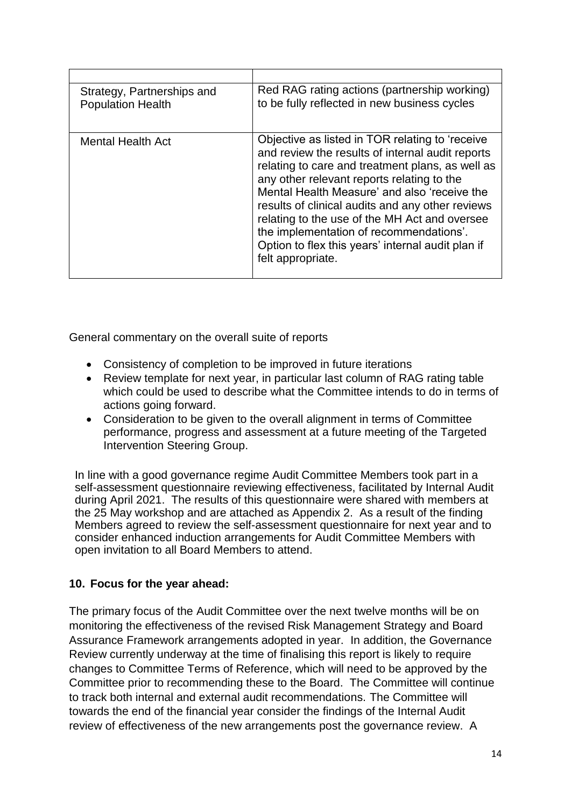| Strategy, Partnerships and<br><b>Population Health</b> | Red RAG rating actions (partnership working)<br>to be fully reflected in new business cycles                                                                                                                                                                                                                                                                                                                                                                                    |
|--------------------------------------------------------|---------------------------------------------------------------------------------------------------------------------------------------------------------------------------------------------------------------------------------------------------------------------------------------------------------------------------------------------------------------------------------------------------------------------------------------------------------------------------------|
| <b>Mental Health Act</b>                               | Objective as listed in TOR relating to 'receive<br>and review the results of internal audit reports<br>relating to care and treatment plans, as well as<br>any other relevant reports relating to the<br>Mental Health Measure' and also 'receive the<br>results of clinical audits and any other reviews<br>relating to the use of the MH Act and oversee<br>the implementation of recommendations'.<br>Option to flex this years' internal audit plan if<br>felt appropriate. |

General commentary on the overall suite of reports

- Consistency of completion to be improved in future iterations
- Review template for next year, in particular last column of RAG rating table which could be used to describe what the Committee intends to do in terms of actions going forward.
- Consideration to be given to the overall alignment in terms of Committee performance, progress and assessment at a future meeting of the Targeted Intervention Steering Group.

In line with a good governance regime Audit Committee Members took part in a self-assessment questionnaire reviewing effectiveness, facilitated by Internal Audit during April 2021. The results of this questionnaire were shared with members at the 25 May workshop and are attached as Appendix 2. As a result of the finding Members agreed to review the self-assessment questionnaire for next year and to consider enhanced induction arrangements for Audit Committee Members with open invitation to all Board Members to attend.

### **10. Focus for the year ahead:**

The primary focus of the Audit Committee over the next twelve months will be on monitoring the effectiveness of the revised Risk Management Strategy and Board Assurance Framework arrangements adopted in year. In addition, the Governance Review currently underway at the time of finalising this report is likely to require changes to Committee Terms of Reference, which will need to be approved by the Committee prior to recommending these to the Board. The Committee will continue to track both internal and external audit recommendations. The Committee will towards the end of the financial year consider the findings of the Internal Audit review of effectiveness of the new arrangements post the governance review. A